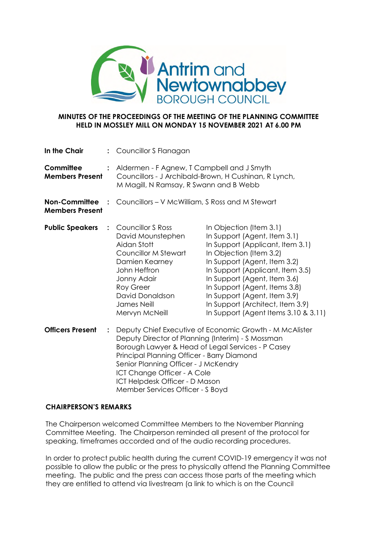

## **MINUTES OF THE PROCEEDINGS OF THE MEETING OF THE PLANNING COMMITTEE HELD IN MOSSLEY MILL ON MONDAY 15 NOVEMBER 2021 AT 6.00 PM**

| In the Chair                                   |                | : Councillor S Flanagan                                                                                                                                                                                                                                                                           |                                                                                                                                                                                                                                                                                                                                                                         |
|------------------------------------------------|----------------|---------------------------------------------------------------------------------------------------------------------------------------------------------------------------------------------------------------------------------------------------------------------------------------------------|-------------------------------------------------------------------------------------------------------------------------------------------------------------------------------------------------------------------------------------------------------------------------------------------------------------------------------------------------------------------------|
| Committee<br><b>Members Present</b>            | $\ddot{\cdot}$ | Aldermen - F Agnew, T Campbell and J Smyth<br>Councillors - J Archibald-Brown, H Cushinan, R Lynch,<br>M Magill, N Ramsay, R Swann and B Webb                                                                                                                                                     |                                                                                                                                                                                                                                                                                                                                                                         |
| <b>Non-Committee</b><br><b>Members Present</b> |                | Councillors - V McWilliam, S Ross and M Stewart                                                                                                                                                                                                                                                   |                                                                                                                                                                                                                                                                                                                                                                         |
| <b>Public Speakers</b>                         | $\ddot{\cdot}$ | <b>Councillor S Ross</b><br>David Mounstephen<br>Aidan Stott<br>Councillor M Stewart<br>Damien Kearney<br>John Heffron<br>Jonny Adair<br><b>Roy Greer</b><br>David Donaldson<br><b>James Neill</b><br>Mervyn McNeill                                                                              | In Objection (Item 3.1)<br>In Support (Agent, Item 3.1)<br>In Support (Applicant, Item 3.1)<br>In Objection (Item 3.2)<br>In Support (Agent, Item 3.2)<br>In Support (Applicant, Item 3.5)<br>In Support (Agent, Item 3.6)<br>In Support (Agent, Items 3.8)<br>In Support (Agent, Item 3.9)<br>In Support (Architect, Item 3.9)<br>In Support (Agent Items 3.10 & 3.11) |
| <b>Officers Present</b>                        | $\ddot{\cdot}$ | Deputy Director of Planning (Interim) - S Mossman<br>Borough Lawyer & Head of Legal Services - P Casey<br>Principal Planning Officer - Barry Diamond<br>Senior Planning Officer - J McKendry<br>ICT Change Officer - A Cole<br>ICT Helpdesk Officer - D Mason<br>Member Services Officer - S Boyd | Deputy Chief Executive of Economic Growth - M McAlister                                                                                                                                                                                                                                                                                                                 |

## **CHAIRPERSON'S REMARKS**

The Chairperson welcomed Committee Members to the November Planning Committee Meeting. The Chairperson reminded all present of the protocol for speaking, timeframes accorded and of the audio recording procedures.

In order to protect public health during the current COVID-19 emergency it was not possible to allow the public or the press to physically attend the Planning Committee meeting. The public and the press can access those parts of the meeting which they are entitled to attend via livestream (a link to which is on the Council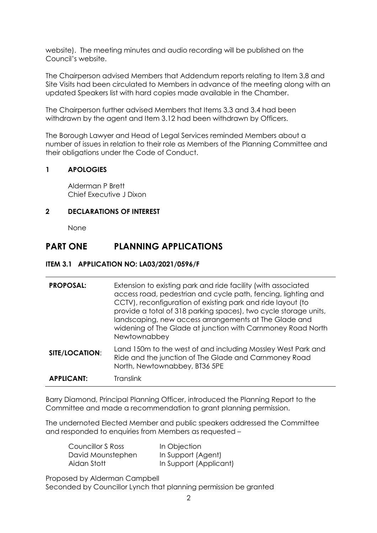website). The meeting minutes and audio recording will be published on the Council's website.

The Chairperson advised Members that Addendum reports relating to Item 3.8 and Site Visits had been circulated to Members in advance of the meeting along with an updated Speakers list with hard copies made available in the Chamber.

The Chairperson further advised Members that Items 3.3 and 3.4 had been withdrawn by the agent and Item 3.12 had been withdrawn by Officers.

The Borough Lawyer and Head of Legal Services reminded Members about a number of issues in relation to their role as Members of the Planning Committee and their obligations under the Code of Conduct.

## **1 APOLOGIES**

Alderman P Brett Chief Executive J Dixon

## **2 DECLARATIONS OF INTEREST**

None

## **PART ONE PLANNING APPLICATIONS**

## **ITEM 3.1 APPLICATION NO: LA03/2021/0596/F**

| <b>PROPOSAL:</b>  | Extension to existing park and ride facility (with associated<br>access road, pedestrian and cycle path, fencing, lighting and<br>CCTV), reconfiguration of existing park and ride layout (to<br>provide a total of 318 parking spaces), two cycle storage units,<br>landscaping, new access arrangements at The Glade and<br>widening of The Glade at junction with Carnmoney Road North<br>Newtownabbey |
|-------------------|-----------------------------------------------------------------------------------------------------------------------------------------------------------------------------------------------------------------------------------------------------------------------------------------------------------------------------------------------------------------------------------------------------------|
| SITE/LOCATION:    | Land 150m to the west of and including Mossley West Park and<br>Ride and the junction of The Glade and Carnmoney Road<br>North, Newtownabbey, BT36 5PE                                                                                                                                                                                                                                                    |
| <b>APPLICANT:</b> | Translink                                                                                                                                                                                                                                                                                                                                                                                                 |

Barry Diamond, Principal Planning Officer, introduced the Planning Report to the Committee and made a recommendation to grant planning permission.

The undernoted Elected Member and public speakers addressed the Committee and responded to enquiries from Members as requested –

| Councillor S Ross | In Objection           |
|-------------------|------------------------|
| David Mounstephen | In Support (Agent)     |
| Aidan Stott       | In Support (Applicant) |

Proposed by Alderman Campbell

Seconded by Councillor Lynch that planning permission be granted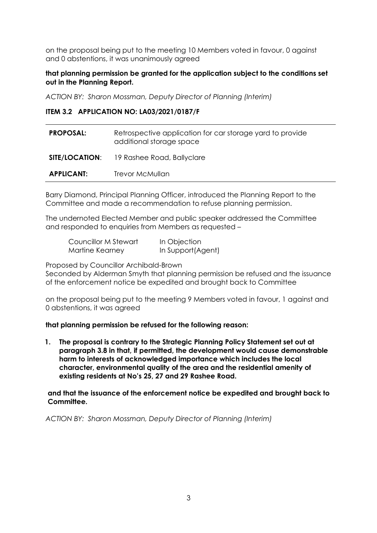on the proposal being put to the meeting 10 Members voted in favour, 0 against and 0 abstentions, it was unanimously agreed

## **that planning permission be granted for the application subject to the conditions set out in the Planning Report.**

*ACTION BY: Sharon Mossman, Deputy Director of Planning (Interim)*

#### **ITEM 3.2 APPLICATION NO: LA03/2021/0187/F**

| <b>PROPOSAL:</b>  | Retrospective application for car storage yard to provide<br>additional storage space |
|-------------------|---------------------------------------------------------------------------------------|
|                   | <b>SITE/LOCATION:</b> 19 Rashee Road, Ballyclare                                      |
| <b>APPLICANT:</b> | Trevor McMullan                                                                       |

Barry Diamond, Principal Planning Officer, introduced the Planning Report to the Committee and made a recommendation to refuse planning permission.

The undernoted Elected Member and public speaker addressed the Committee and responded to enquiries from Members as requested –

| Councillor M Stewart | In Objection      |
|----------------------|-------------------|
| Martine Kearney      | In Support(Agent) |

Proposed by Councillor Archibald-Brown

Seconded by Alderman Smyth that planning permission be refused and the issuance of the enforcement notice be expedited and brought back to Committee

on the proposal being put to the meeting 9 Members voted in favour, 1 against and 0 abstentions, it was agreed

#### **that planning permission be refused for the following reason:**

**1. The proposal is contrary to the Strategic Planning Policy Statement set out at paragraph 3.8 in that, if permitted, the development would cause demonstrable harm to interests of acknowledged importance which includes the local character, environmental quality of the area and the residential amenity of existing residents at No's 25, 27 and 29 Rashee Road.**

**and that the issuance of the enforcement notice be expedited and brought back to Committee.**

*ACTION BY: Sharon Mossman, Deputy Director of Planning (Interim)*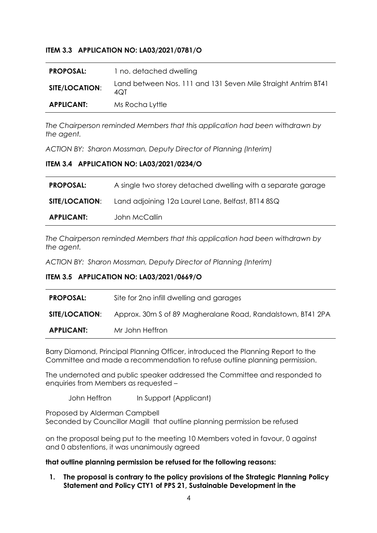## **ITEM 3.3 APPLICATION NO: LA03/2021/0781/O**

| <b>PROPOSAL:</b>  | 1 no. detached dwelling                                              |
|-------------------|----------------------------------------------------------------------|
| SITE/LOCATION:    | Land between Nos. 111 and 131 Seven Mile Straight Antrim BT41<br>4QT |
| <b>APPLICANT:</b> | Ms Rocha Lyttle                                                      |

*The Chairperson reminded Members that this application had been withdrawn by the agent.*

*ACTION BY: Sharon Mossman, Deputy Director of Planning (Interim)*

## **ITEM 3.4 APPLICATION NO: LA03/2021/0234/O**

| <b>PROPOSAL:</b>  | A single two storey detached dwelling with a separate garage            |
|-------------------|-------------------------------------------------------------------------|
|                   | <b>SITE/LOCATION:</b> Land adjoining 12a Laurel Lane, Belfast, BT14 8SQ |
| <b>APPLICANT:</b> | John McCallin                                                           |

*The Chairperson reminded Members that this application had been withdrawn by the agent.*

*ACTION BY: Sharon Mossman, Deputy Director of Planning (Interim)*

## **ITEM 3.5 APPLICATION NO: LA03/2021/0669/O**

| <b>PROPOSAL:</b>      | Site for 2no infill dwelling and garages                    |
|-----------------------|-------------------------------------------------------------|
| <b>SITE/LOCATION:</b> | Approx. 30m S of 89 Magheralane Road, Randalstown, BT41 2PA |
| <b>APPLICANT:</b>     | Mr John Heffron                                             |

Barry Diamond, Principal Planning Officer, introduced the Planning Report to the Committee and made a recommendation to refuse outline planning permission.

The undernoted and public speaker addressed the Committee and responded to enquiries from Members as requested –

John Heffron In Support (Applicant)

Proposed by Alderman Campbell Seconded by Councillor Magill that outline planning permission be refused

on the proposal being put to the meeting 10 Members voted in favour, 0 against and 0 abstentions, it was unanimously agreed

## **that outline planning permission be refused for the following reasons:**

**1. The proposal is contrary to the policy provisions of the Strategic Planning Policy Statement and Policy CTY1 of PPS 21, Sustainable Development in the**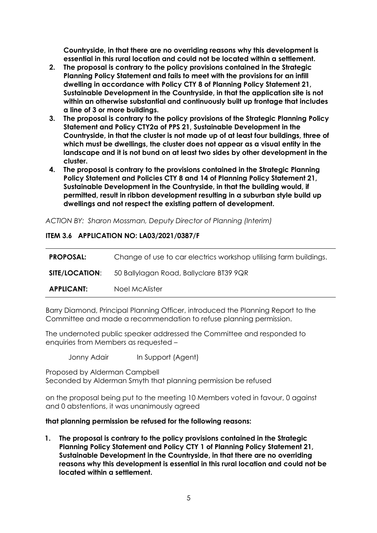**Countryside, in that there are no overriding reasons why this development is essential in this rural location and could not be located within a settlement.**

- **2. The proposal is contrary to the policy provisions contained in the Strategic Planning Policy Statement and fails to meet with the provisions for an infill dwelling in accordance with Policy CTY 8 of Planning Policy Statement 21, Sustainable Development in the Countryside, in that the application site is not within an otherwise substantial and continuously built up frontage that includes a line of 3 or more buildings.**
- **3. The proposal is contrary to the policy provisions of the Strategic Planning Policy Statement and Policy CTY2a of PPS 21, Sustainable Development in the Countryside, in that the cluster is not made up of at least four buildings, three of which must be dwellings, the cluster does not appear as a visual entity in the landscape and it is not bund on at least two sides by other development in the cluster.**
- **4. The proposal is contrary to the provisions contained in the Strategic Planning Policy Statement and Policies CTY 8 and 14 of Planning Policy Statement 21, Sustainable Development in the Countryside, in that the building would, if permitted, result in ribbon development resulting in a suburban style build up dwellings and not respect the existing pattern of development.**

*ACTION BY: Sharon Mossman, Deputy Director of Planning (Interim)*

#### **ITEM 3.6 APPLICATION NO: LA03/2021/0387/F**

| <b>PROPOSAL:</b>      | Change of use to car electrics workshop utilising farm buildings. |
|-----------------------|-------------------------------------------------------------------|
| <b>SITE/LOCATION:</b> | 50 Ballylagan Road, Ballyclare BT39 9QR                           |
| <b>APPLICANT:</b>     | Noel McAlister                                                    |

Barry Diamond, Principal Planning Officer, introduced the Planning Report to the Committee and made a recommendation to refuse planning permission.

The undernoted public speaker addressed the Committee and responded to enquiries from Members as requested –

Jonny Adair In Support (Agent)

Proposed by Alderman Campbell Seconded by Alderman Smyth that planning permission be refused

on the proposal being put to the meeting 10 Members voted in favour, 0 against and 0 abstentions, it was unanimously agreed

#### **that planning permission be refused for the following reasons:**

**1. The proposal is contrary to the policy provisions contained in the Strategic Planning Policy Statement and Policy CTY 1 of Planning Policy Statement 21, Sustainable Development in the Countryside, in that there are no overriding reasons why this development is essential in this rural location and could not be located within a settlement.**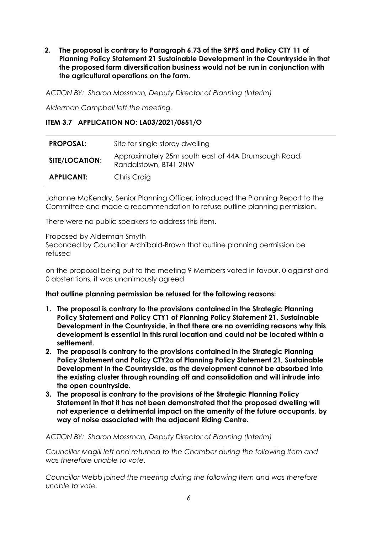**2. The proposal is contrary to Paragraph 6.73 of the SPPS and Policy CTY 11 of Planning Policy Statement 21 Sustainable Development in the Countryside in that the proposed farm diversification business would not be run in conjunction with the agricultural operations on the farm.**

*ACTION BY: Sharon Mossman, Deputy Director of Planning (Interim)*

*Alderman Campbell left the meeting.*

## **ITEM 3.7 APPLICATION NO: LA03/2021/0651/O**

| <b>PROPOSAL:</b>  | Site for single storey dwelling                                              |
|-------------------|------------------------------------------------------------------------------|
| SITE/LOCATION:    | Approximately 25m south east of 44A Drumsough Road,<br>Randalstown, BT41 2NW |
| <b>APPLICANT:</b> | Chris Craig                                                                  |

Johanne McKendry, Senior Planning Officer, introduced the Planning Report to the Committee and made a recommendation to refuse outline planning permission.

There were no public speakers to address this item.

Proposed by Alderman Smyth Seconded by Councillor Archibald-Brown that outline planning permission be refused

on the proposal being put to the meeting 9 Members voted in favour, 0 against and 0 abstentions, it was unanimously agreed

**that outline planning permission be refused for the following reasons:**

- **1. The proposal is contrary to the provisions contained in the Strategic Planning Policy Statement and Policy CTY1 of Planning Policy Statement 21, Sustainable Development in the Countryside, in that there are no overriding reasons why this development is essential in this rural location and could not be located within a settlement.**
- **2. The proposal is contrary to the provisions contained in the Strategic Planning Policy Statement and Policy CTY2a of Planning Policy Statement 21, Sustainable Development in the Countryside, as the development cannot be absorbed into the existing cluster through rounding off and consolidation and will intrude into the open countryside.**
- **3. The proposal is contrary to the provisions of the Strategic Planning Policy Statement in that it has not been demonstrated that the proposed dwelling will not experience a detrimental impact on the amenity of the future occupants, by way of noise associated with the adjacent Riding Centre.**

#### *ACTION BY: Sharon Mossman, Deputy Director of Planning (Interim)*

*Councillor Magill left and returned to the Chamber during the following Item and was therefore unable to vote.*

*Councillor Webb joined the meeting during the following Item and was therefore unable to vote.*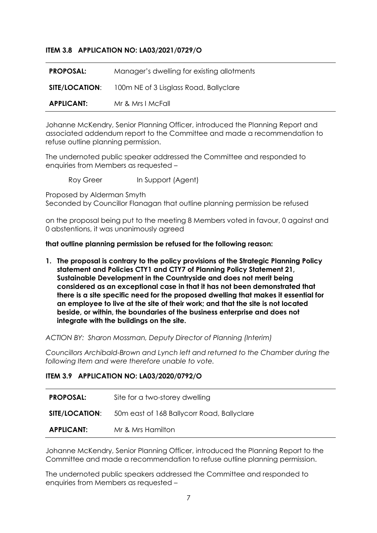## **ITEM 3.8 APPLICATION NO: LA03/2021/0729/O**

| <b>PROPOSAL:</b>      | Manager's dwelling for existing allotments |
|-----------------------|--------------------------------------------|
| <b>SITE/LOCATION:</b> | 100m NE of 3 Lisglass Road, Ballyclare     |
| <b>APPLICANT:</b>     | Mr & Mrs I McFall                          |

Johanne McKendry, Senior Planning Officer, introduced the Planning Report and associated addendum report to the Committee and made a recommendation to refuse outline planning permission.

The undernoted public speaker addressed the Committee and responded to enquiries from Members as requested –

Roy Greer In Support (Agent)

Proposed by Alderman Smyth

Seconded by Councillor Flanagan that outline planning permission be refused

on the proposal being put to the meeting 8 Members voted in favour, 0 against and 0 abstentions, it was unanimously agreed

#### **that outline planning permission be refused for the following reason:**

**1. The proposal is contrary to the policy provisions of the Strategic Planning Policy statement and Policies CTY1 and CTY7 of Planning Policy Statement 21, Sustainable Development in the Countryside and does not merit being considered as an exceptional case in that it has not been demonstrated that there is a site specific need for the proposed dwelling that makes it essential for an employee to live at the site of their work; and that the site is not located beside, or within, the boundaries of the business enterprise and does not integrate with the buildings on the site.**

*ACTION BY: Sharon Mossman, Deputy Director of Planning (Interim)*

*Councillors Archibald-Brown and Lynch left and returned to the Chamber during the following Item and were therefore unable to vote.*

#### **ITEM 3.9 APPLICATION NO: LA03/2020/0792/O**

| <b>PROPOSAL:</b>  | Site for a two-storey dwelling                                   |
|-------------------|------------------------------------------------------------------|
|                   | <b>SITE/LOCATION:</b> 50m east of 168 Ballycorr Road, Ballyclare |
| <b>APPLICANT:</b> | Mr & Mrs Hamilton                                                |

Johanne McKendry, Senior Planning Officer, introduced the Planning Report to the Committee and made a recommendation to refuse outline planning permission.

The undernoted public speakers addressed the Committee and responded to enquiries from Members as requested –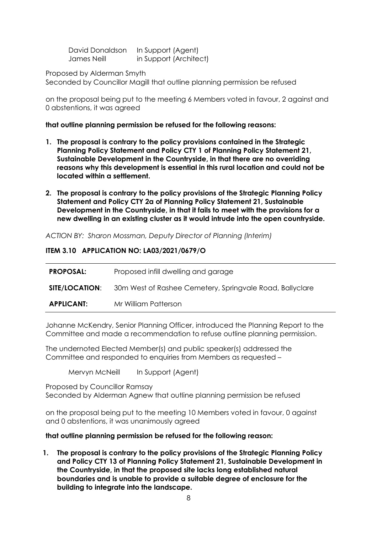David Donaldson In Support (Agent) James Neill in Support (Architect)

Proposed by Alderman Smyth

Seconded by Councillor Magill that outline planning permission be refused

on the proposal being put to the meeting 6 Members voted in favour, 2 against and 0 abstentions, it was agreed

**that outline planning permission be refused for the following reasons:**

- **1. The proposal is contrary to the policy provisions contained in the Strategic Planning Policy Statement and Policy CTY 1 of Planning Policy Statement 21, Sustainable Development in the Countryside, in that there are no overriding reasons why this development is essential in this rural location and could not be located within a settlement.**
- **2. The proposal is contrary to the policy provisions of the Strategic Planning Policy Statement and Policy CTY 2a of Planning Policy Statement 21, Sustainable Development in the Countryside, in that it fails to meet with the provisions for a new dwelling in an existing cluster as it would intrude into the open countryside.**

*ACTION BY: Sharon Mossman, Deputy Director of Planning (Interim)*

## **ITEM 3.10 APPLICATION NO: LA03/2021/0679/O**

| <b>PROPOSAL:</b>      | Proposed infill dwelling and garage                      |
|-----------------------|----------------------------------------------------------|
| <b>SITE/LOCATION:</b> | 30m West of Rashee Cemetery, Springvale Road, Ballyclare |
| <b>APPLICANT:</b>     | Mr William Patterson                                     |

Johanne McKendry, Senior Planning Officer, introduced the Planning Report to the Committee and made a recommendation to refuse outline planning permission.

The undernoted Elected Member(s) and public speaker(s) addressed the Committee and responded to enquiries from Members as requested –

Mervyn McNeill In Support (Agent)

Proposed by Councillor Ramsay Seconded by Alderman Agnew that outline planning permission be refused

on the proposal being put to the meeting 10 Members voted in favour, 0 against and 0 abstentions, it was unanimously agreed

## **that outline planning permission be refused for the following reason:**

**1. The proposal is contrary to the policy provisions of the Strategic Planning Policy and Policy CTY 13 of Planning Policy Statement 21, Sustainable Development in the Countryside, in that the proposed site lacks long established natural boundaries and is unable to provide a suitable degree of enclosure for the building to integrate into the landscape.**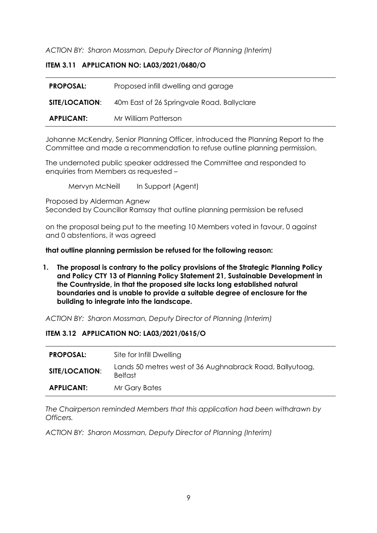*ACTION BY: Sharon Mossman, Deputy Director of Planning (Interim)*

## **ITEM 3.11 APPLICATION NO: LA03/2021/0680/O**

| <b>PROPOSAL:</b>  | Proposed infill dwelling and garage        |
|-------------------|--------------------------------------------|
| SITE/LOCATION:    | 40m East of 26 Springvale Road, Ballyclare |
| <b>APPLICANT:</b> | Mr William Patterson                       |

Johanne McKendry, Senior Planning Officer, introduced the Planning Report to the Committee and made a recommendation to refuse outline planning permission.

The undernoted public speaker addressed the Committee and responded to enquiries from Members as requested –

Mervyn McNeill In Support (Agent)

Proposed by Alderman Agnew Seconded by Councillor Ramsay that outline planning permission be refused

on the proposal being put to the meeting 10 Members voted in favour, 0 against and 0 abstentions, it was agreed

#### **that outline planning permission be refused for the following reason:**

**1. The proposal is contrary to the policy provisions of the Strategic Planning Policy and Policy CTY 13 of Planning Policy Statement 21, Sustainable Development in the Countryside, in that the proposed site lacks long established natural boundaries and is unable to provide a suitable degree of enclosure for the building to integrate into the landscape.**

*ACTION BY: Sharon Mossman, Deputy Director of Planning (Interim)*

## **ITEM 3.12 APPLICATION NO: LA03/2021/0615/O**

| <b>PROPOSAL:</b>      | Site for Infill Dwelling                                                   |
|-----------------------|----------------------------------------------------------------------------|
| <b>SITE/LOCATION:</b> | Lands 50 metres west of 36 Aughnabrack Road, Ballyutoag,<br><b>Belfast</b> |
| <b>APPLICANT:</b>     | Mr Gary Bates                                                              |

*The Chairperson reminded Members that this application had been withdrawn by Officers.*

*ACTION BY: Sharon Mossman, Deputy Director of Planning (Interim)*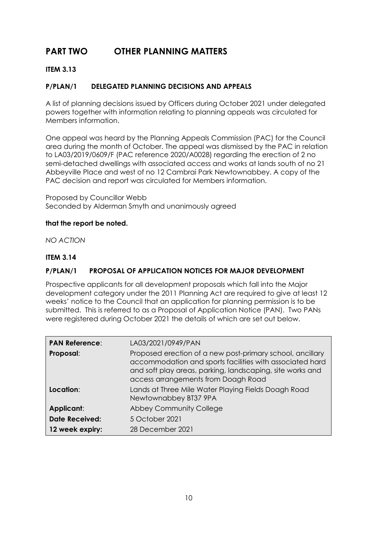# **PART TWO OTHER PLANNING MATTERS**

## **ITEM 3.13**

## **P/PLAN/1 DELEGATED PLANNING DECISIONS AND APPEALS**

A list of planning decisions issued by Officers during October 2021 under delegated powers together with information relating to planning appeals was circulated for Members information.

One appeal was heard by the Planning Appeals Commission (PAC) for the Council area during the month of October. The appeal was dismissed by the PAC in relation to LA03/2019/0609/F (PAC reference 2020/A0028) regarding the erection of 2 no semi-detached dwellings with associated access and works at lands south of no 21 Abbeyville Place and west of no 12 Cambrai Park Newtownabbey. A copy of the PAC decision and report was circulated for Members information.

Proposed by Councillor Webb Seconded by Alderman Smyth and unanimously agreed

## **that the report be noted.**

*NO ACTION*

## **ITEM 3.14**

## **P/PLAN/1 PROPOSAL OF APPLICATION NOTICES FOR MAJOR DEVELOPMENT**

Prospective applicants for all development proposals which fall into the Major development category under the 2011 Planning Act are required to give at least 12 weeks' notice to the Council that an application for planning permission is to be submitted. This is referred to as a Proposal of Application Notice (PAN). Two PANs were registered during October 2021 the details of which are set out below.

| <b>PAN Reference:</b> | LA03/2021/0949/PAN                                                                                                                                                                                                        |
|-----------------------|---------------------------------------------------------------------------------------------------------------------------------------------------------------------------------------------------------------------------|
| Proposal:             | Proposed erection of a new post-primary school, ancillary<br>accommodation and sports facilities with associated hard<br>and soft play areas, parking, landscaping, site works and<br>access arrangements from Doagh Road |
| Location:             | Lands at Three Mile Water Playing Fields Doagh Road<br>Newtownabbey BT37 9PA                                                                                                                                              |
| Applicant:            | <b>Abbey Community College</b>                                                                                                                                                                                            |
| <b>Date Received:</b> | 5 October 2021                                                                                                                                                                                                            |
| 12 week expiry:       | 28 December 2021                                                                                                                                                                                                          |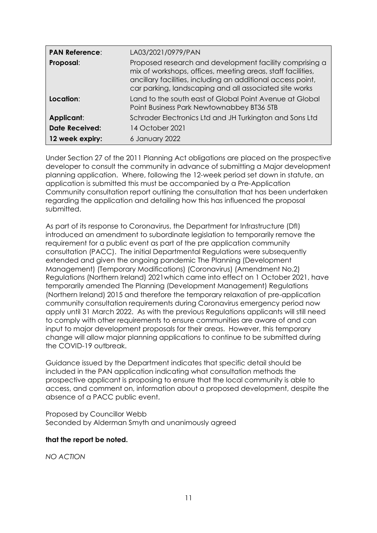| <b>PAN Reference:</b> | LA03/2021/0979/PAN                                                                                                                                                                                                                              |
|-----------------------|-------------------------------------------------------------------------------------------------------------------------------------------------------------------------------------------------------------------------------------------------|
| Proposal:             | Proposed research and development facility comprising a<br>mix of workshops, offices, meeting areas, staff facilities,<br>ancillary facilities, including an additional access point,<br>car parking, landscaping and all associated site works |
| Location:             | Land to the south east of Global Point Avenue at Global<br>Point Business Park Newtownabbey BT36 5TB                                                                                                                                            |
| Applicant:            | Schrader Electronics Ltd and JH Turkington and Sons Ltd                                                                                                                                                                                         |
| <b>Date Received:</b> | 14 October 2021                                                                                                                                                                                                                                 |
| 12 week expiry:       | 6 January 2022                                                                                                                                                                                                                                  |

Under Section 27 of the 2011 Planning Act obligations are placed on the prospective developer to consult the community in advance of submitting a Major development planning application. Where, following the 12-week period set down in statute, an application is submitted this must be accompanied by a Pre-Application Community consultation report outlining the consultation that has been undertaken regarding the application and detailing how this has influenced the proposal submitted.

As part of its response to Coronavirus, the Department for Infrastructure (DfI) introduced an amendment to subordinate legislation to temporarily remove the requirement for a public event as part of the pre application community consultation (PACC). The initial Departmental Regulations were subsequently extended and given the ongoing pandemic The Planning (Development Management) (Temporary Modifications) (Coronavirus) (Amendment No.2) Regulations (Northern Ireland) 2021which came into effect on 1 October 2021, have temporarily amended The Planning (Development Management) Regulations (Northern Ireland) 2015 and therefore the temporary relaxation of pre-application community consultation requirements during Coronavirus emergency period now apply until 31 March 2022. As with the previous Regulations applicants will still need to comply with other requirements to ensure communities are aware of and can input to major development proposals for their areas. However, this temporary change will allow major planning applications to continue to be submitted during the COVID-19 outbreak.

Guidance issued by the Department indicates that specific detail should be included in the PAN application indicating what consultation methods the prospective applicant is proposing to ensure that the local community is able to access, and comment on, information about a proposed development, despite the absence of a PACC public event.

Proposed by Councillor Webb Seconded by Alderman Smyth and unanimously agreed

#### **that the report be noted.**

*NO ACTION*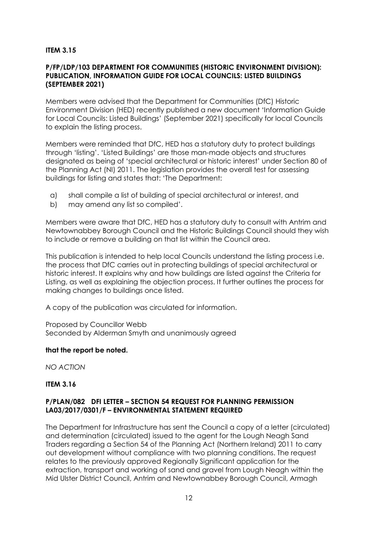## **ITEM 3.15**

#### **P/FP/LDP/103 DEPARTMENT FOR COMMUNITIES (HISTORIC ENVIRONMENT DIVISION): PUBLICATION, INFORMATION GUIDE FOR LOCAL COUNCILS: LISTED BUILDINGS (SEPTEMBER 2021)**

Members were advised that the Department for Communities (DfC) Historic Environment Division (HED) recently published a new document 'Information Guide for Local Councils: Listed Buildings' (September 2021) specifically for local Councils to explain the listing process.

Members were reminded that DfC, HED has a statutory duty to protect buildings through 'listing'. 'Listed Buildings' are those man-made objects and structures designated as being of 'special architectural or historic interest' under Section 80 of the Planning Act (NI) 2011. The legislation provides the overall test for assessing buildings for listing and states that: 'The Department:

- a) shall compile a list of building of special architectural or interest, and
- b) may amend any list so compiled'.

Members were aware that DfC, HED has a statutory duty to consult with Antrim and Newtownabbey Borough Council and the Historic Buildings Council should they wish to include or remove a building on that list within the Council area.

This publication is intended to help local Councils understand the listing process i.e. the process that DfC carries out in protecting buildings of special architectural or historic interest. It explains why and how buildings are listed against the Criteria for Listing, as well as explaining the objection process. It further outlines the process for making changes to buildings once listed.

A copy of the publication was circulated for information.

Proposed by Councillor Webb Seconded by Alderman Smyth and unanimously agreed

#### **that the report be noted.**

*NO ACTION*

#### **ITEM 3.16**

## **P/PLAN/082 DFI LETTER – SECTION 54 REQUEST FOR PLANNING PERMISSION LA03/2017/0301/F – ENVIRONMENTAL STATEMENT REQUIRED**

The Department for Infrastructure has sent the Council a copy of a letter (circulated) and determination (circulated) issued to the agent for the Lough Neagh Sand Traders regarding a Section 54 of the Planning Act (Northern Ireland) 2011 to carry out development without compliance with two planning conditions. The request relates to the previously approved Regionally Significant application for the extraction, transport and working of sand and gravel from Lough Neagh within the Mid Ulster District Council, Antrim and Newtownabbey Borough Council, Armagh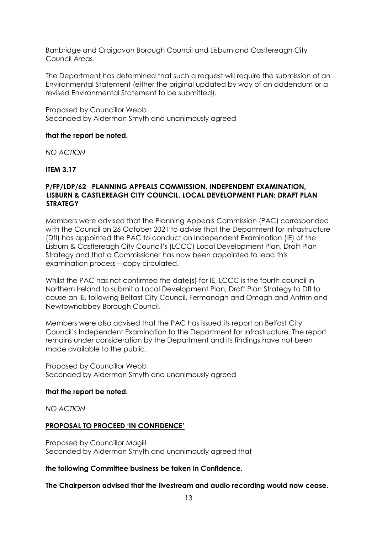Banbridge and Craigavon Borough Council and Lisburn and Castlereagh City Council Areas.

The Department has determined that such a request will require the submission of an Environmental Statement (either the original updated by way of an addendum or a revised Environmental Statement to be submitted).

Proposed by Councillor Webb Seconded by Alderman Smyth and unanimously agreed

#### **that the report be noted.**

*NO ACTION*

**ITEM 3.17**

#### **P/FP/LDP/62 PLANNING APPEALS COMMISSION, INDEPENDENT EXAMINATION, LISBURN & CASTLEREAGH CITY COUNCIL, LOCAL DEVELOPMENT PLAN: DRAFT PLAN STRATEGY**

Members were advised that the Planning Appeals Commission (PAC) corresponded with the Council on 26 October 2021 to advise that the Department for Infrastructure (DfI) has appointed the PAC to conduct an Independent Examination (IE) of the Lisburn & Castlereagh City Council's (LCCC) Local Development Plan, Draft Plan Strategy and that a Commissioner has now been appointed to lead this examination process – copy circulated.

Whilst the PAC has not confirmed the date(s) for IE, LCCC is the fourth council in Northern Ireland to submit a Local Development Plan, Draft Plan Strategy to DfI to cause an IE, following Belfast City Council, Fermanagh and Omagh and Antrim and Newtownabbey Borough Council.

Members were also advised that the PAC has issued its report on Belfast City Council's Independent Examination to the Department for Infrastructure. The report remains under consideration by the Department and its findings have not been made available to the public.

Proposed by Councillor Webb Seconded by Alderman Smyth and unanimously agreed

#### **that the report be noted.**

*NO ACTION*

#### **PROPOSAL TO PROCEED 'IN CONFIDENCE'**

Proposed by Councillor Magill Seconded by Alderman Smyth and unanimously agreed that

#### **the following Committee business be taken In Confidence.**

**The Chairperson advised that the livestream and audio recording would now cease.**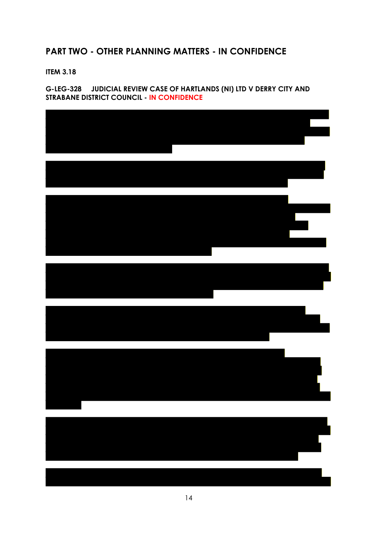# **PART TWO - OTHER PLANNING MATTERS - IN CONFIDENCE**

**ITEM 3.18**

## **G-LEG-328 JUDICIAL REVIEW CASE OF HARTLANDS (NI) LTD V DERRY CITY AND STRABANE DISTRICT COUNCIL - IN CONFIDENCE**